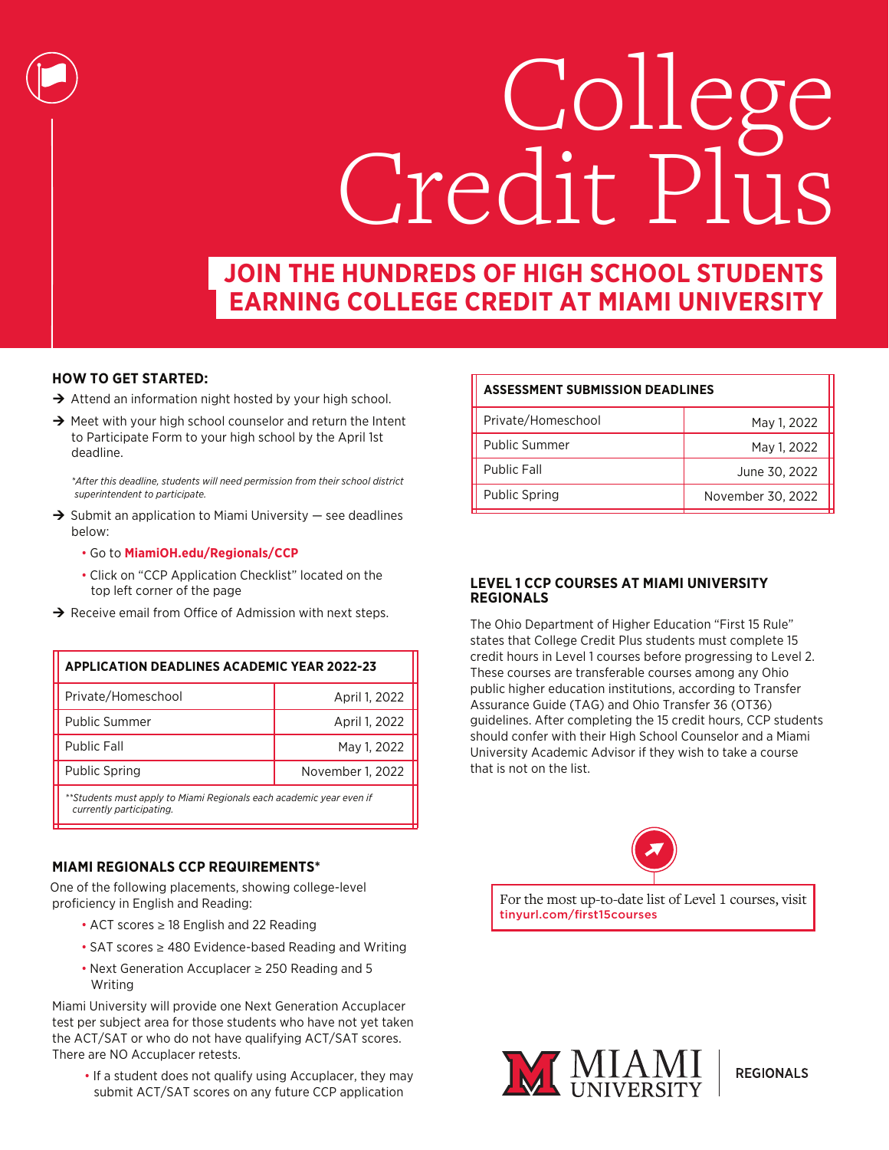

# **JOIN THE HUNDREDS OF HIGH SCHOOL STUDENTS EARNING COLLEGE CREDIT AT MIAMI UNIVERSITY**

Π

## **HOW TO GET STARTED:**

- $\rightarrow$  Attend an information night hosted by your high school.
- $\rightarrow$  Meet with your high school counselor and return the Intent to Participate Form to your high school by the April 1st deadline.

*\*After this deadline, students will need permission from their school district superintendent to participate.*

- $\rightarrow$  Submit an application to Miami University see deadlines below:
	- Go to **MiamiOH.edu/Regionals/CCP**
	- Click on "CCP Application Checklist" located on the top left corner of the page
- $\rightarrow$  Receive email from Office of Admission with next steps.

**APPLICATION DEADLINES ACADEMIC YEAR 2022-23**

| APPLICATION DEADLINES ACADEMIC TEAR 2022-23                                                     |                  |
|-------------------------------------------------------------------------------------------------|------------------|
| Private/Homeschool                                                                              | April 1, 2022    |
| Public Summer                                                                                   | April 1, 2022    |
| <b>Public Fall</b>                                                                              | May 1, 2022      |
| <b>Public Spring</b>                                                                            | November 1, 2022 |
| **Students must apply to Miami Regionals each academic year even if<br>currently participating. |                  |

## **MIAMI REGIONALS CCP REQUIREMENTS\***

One of the following placements, showing college-level proficiency in English and Reading:

- ACT scores ≥ 18 English and 22 Reading
- SAT scores ≥ 480 Evidence-based Reading and Writing
- Next Generation Accuplacer ≥ 250 Reading and 5 Writing

Miami University will provide one Next Generation Accuplacer test per subject area for those students who have not yet taken the ACT/SAT or who do not have qualifying ACT/SAT scores. There are NO Accuplacer retests.

• If a student does not qualify using Accuplacer, they may submit ACT/SAT scores on any future CCP application

## **ASSESSMENT SUBMISSION DEADLINES**

| Private/Homeschool   | May 1, 2022       |
|----------------------|-------------------|
| <b>Public Summer</b> | May 1, 2022       |
| <b>Public Fall</b>   | June 30, 2022     |
| <b>Public Spring</b> | November 30, 2022 |
|                      |                   |

## **LEVEL 1 CCP COURSES AT MIAMI UNIVERSITY REGIONALS**

The Ohio Department of Higher Education "First 15 Rule" states that College Credit Plus students must complete 15 credit hours in Level 1 courses before progressing to Level 2. These courses are transferable courses among any Ohio public higher education institutions, according to Transfer Assurance Guide (TAG) and Ohio Transfer 36 (OT36) guidelines. After completing the 15 credit hours, CCP students should confer with their High School Counselor and a Miami University Academic Advisor if they wish to take a course that is not on the list.



For the most up-to-date list of Level 1 courses, visit tinyurl.com/first15courses



**REGIONALS**